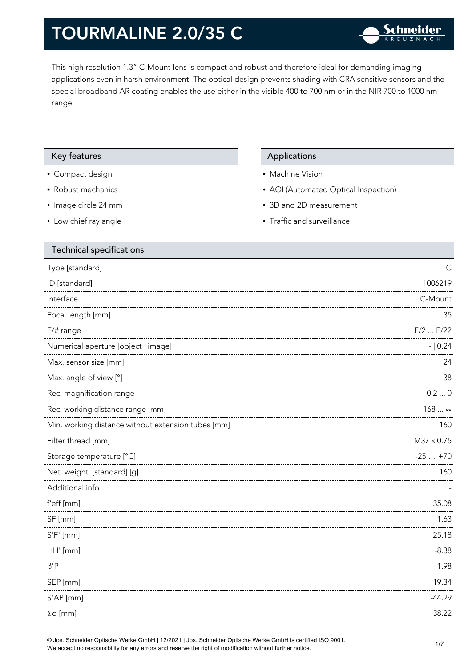This high resolution 1.3" C-Mount lens is compact and robust and therefore ideal for demanding imaging applications even in harsh environment. The optical design prevents shading with CRA sensitive sensors and the special broadband AR coating enables the use either in the visible 400 to 700 nm or in the NIR 700 to 1000 nm range.

### Key features **Applications** Applications

- Compact design
- Robust mechanics
- Image circle 24 mm
- Low chief ray angle

- Machine Vision
- AOI (Automated Optical Inspection)
- 3D and 2D measurement
- Traffic and surveillance

| Technical specifications                           |              |
|----------------------------------------------------|--------------|
| Type [standard]                                    | $\mathsf{C}$ |
| ID [standard]                                      | 1006219      |
| Interface                                          | C-Mount      |
| Focal length [mm]                                  | 35           |
| F/# range                                          | $F/2$ $F/22$ |
| Numerical aperture [object   image]                | $- 0.24$     |
| Max. sensor size [mm]                              | 24           |
| Max. angle of view [°]                             | 38           |
| Rec. magnification range                           | $-0.20$      |
| Rec. working distance range [mm]                   | $168 \infty$ |
| Min. working distance without extension tubes [mm] | 160          |
| Filter thread [mm]                                 | M37 x 0.75   |
| Storage temperature [°C]                           | $-25+70$     |
| Net. weight [standard] [g]                         | 160          |
| Additional info                                    |              |
| f'eff [mm]                                         | 35.08        |
| SF [mm]                                            | 1.63         |
| $S'F'$ [mm]                                        | 25.18        |
| HH' [mm]                                           | $-8.38$      |
| $\beta$ 'P                                         | 1.98         |
| SEP [mm]                                           | 19.34        |
| S'AP [mm]                                          | $-44.29$     |
| $\Sigma d$ [mm]                                    | 38.22        |
|                                                    |              |

© Jos. Schneider Optische Werke GmbH | 12/2021 | Jos. Schneider Optische Werke GmbH is certified ISO 9001. We accept no responsibility for any errors and reserve the right of modification without further notice.<br>We accept no responsibility for any errors and reserve the right of modification without further notice.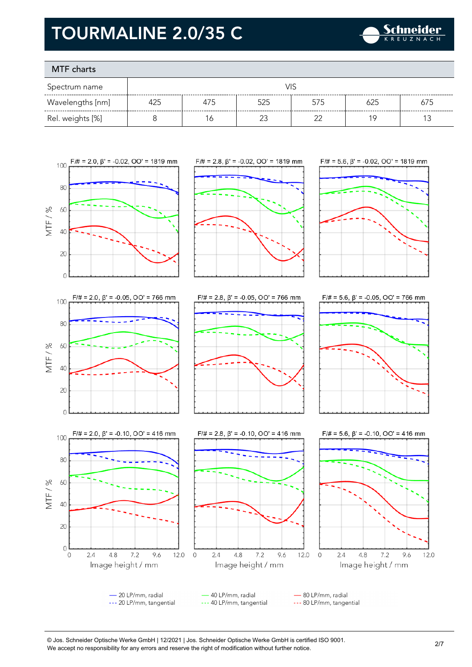

### MTF charts

**80** 

60

 $40$ 

20

 $\circ$ 

 $\overline{0}$ 

 $2.4$ 

 $4.8$ 

 $7.2$ 

Image height / mm

9.6

12.0  $\mathbf 0$ 

MTF/%

| Spectrum name    | VIS |     |     |     |     |     |
|------------------|-----|-----|-----|-----|-----|-----|
| Wavelengths [nm] | 425 | 475 | 525 | 575 | 625 | 675 |
| Rel. weights [%] |     | 6   |     |     | 1 Q |     |











- 20 LP/mm, radial 40 LP/mm, radial - 80 LP/mm, radial --- 20 LP/mm, tangential --- 40 LP/mm, tangential --- 80 LP/mm, tangential

 $2.4$ 

© Jos. Schneider Optische Werke GmbH | 12/2021 | Jos. Schneider Optische Werke GmbH is certified ISO 9001. We accept no responsibility for any errors and reserve the right of modification without further notice.<br>We accept no responsibility for any errors and reserve the right of modification without further notice.

12.0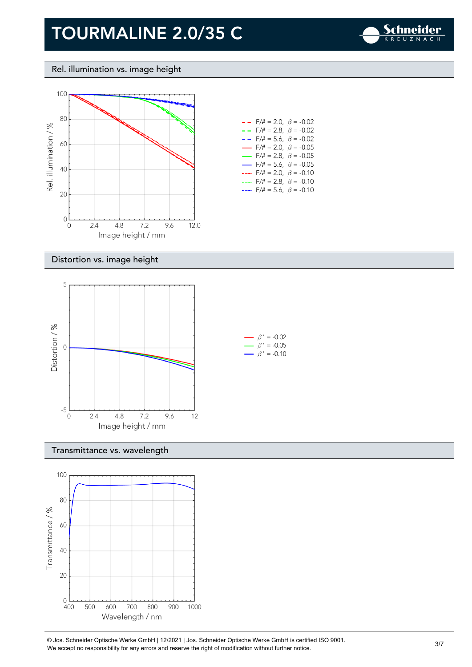

Rel. illumination vs. image height



| --   | $F/\ddot{=} = 2.0, \ \beta = -0.02$      |  |
|------|------------------------------------------|--|
|      | $- -$ F/# = 2.8, $\beta$ = -0.02         |  |
| $ -$ | $F/\ddot{=} = 5.6, \ \beta = -0.02$      |  |
|      | $\rightarrow$ F/# = 2.0, $\beta$ = -0.05 |  |
|      | $\rightarrow$ F/# = 2.8, $\beta$ = -0.05 |  |
|      | $\rightarrow$ F/# = 5.6, $\beta$ = -0.05 |  |
|      | F/# = 2.0, $\beta$ = -0.10               |  |
|      | $F/\ddot{=} = 2.8$ , $\beta = -0.10$     |  |
|      | F/# = 5.6, $\beta$ = -0.10               |  |

#### Distortion vs. image height



#### Transmittance vs. wavelength



© Jos. Schneider Optische Werke GmbH | 12/2021 | Jos. Schneider Optische Werke GmbH is certified ISO 9001. We accept no responsibility for any errors and reserve the right of modification without further notice.<br>We accept no responsibility for any errors and reserve the right of modification without further notice.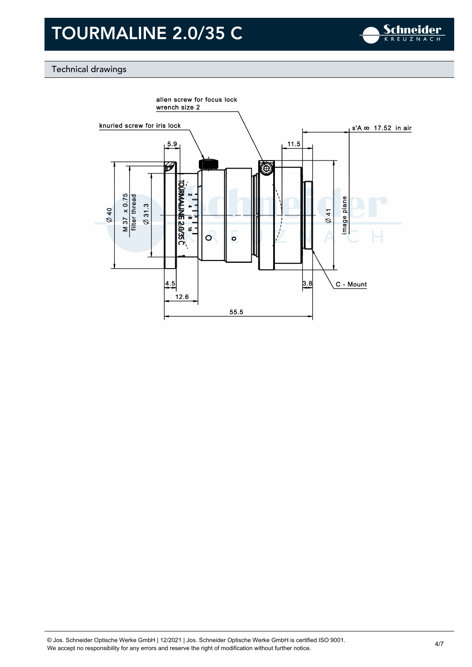

### Technical drawings

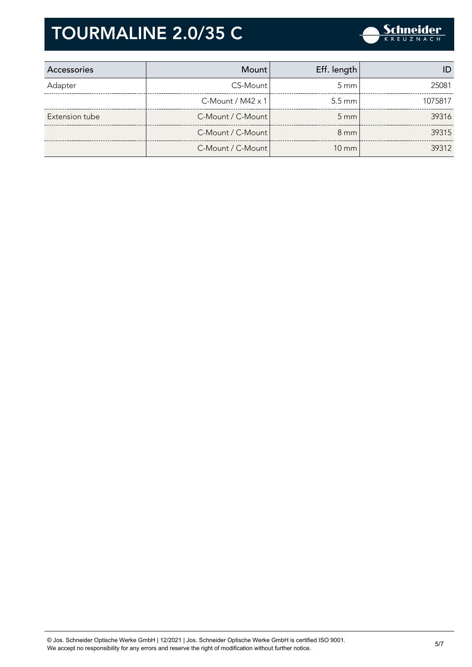

| Accessories    | Mount l                     | Eff. length        |         |
|----------------|-----------------------------|--------------------|---------|
| Adapter        | CS-Mount                    | $5 \text{ mm}$     | 25081   |
|                | $C$ -Mount / M42 $\times$ 1 | $5.5 \text{ mm}$   | 1075817 |
| Extension tube | C-Mount / C-Mount           | $5 \, \mathrm{mm}$ | 39316   |
|                | C-Mount / C-Mount           | $8 \text{ mm}$     | 39315   |
|                | C-Mount / C-Mount           | $10 \text{ mm}$    | 39312   |